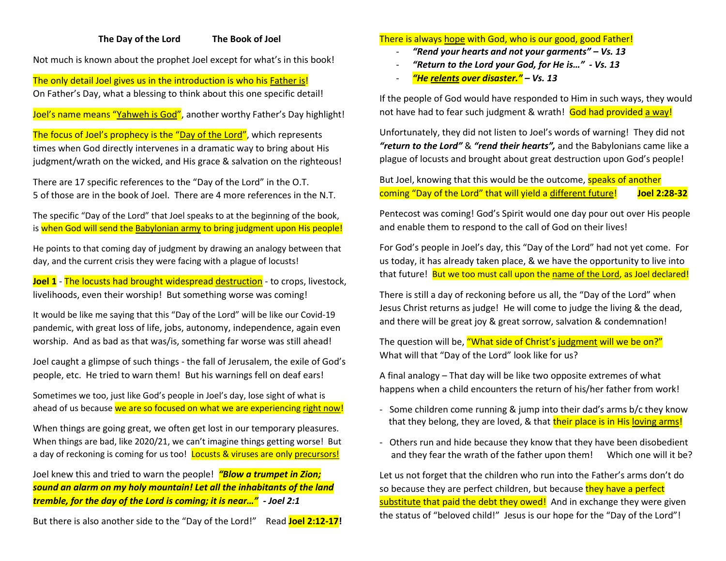## **The Day of the Lord The Book of Joel**

Not much is known about the prophet Joel except for what's in this book!

The only detail Joel gives us in the introduction is who his Father is! On Father's Day, what a blessing to think about this one specific detail!

Joel's name means "Yahweh is God", another worthy Father's Day highlight!

The focus of Joel's prophecy is the "Day of the Lord", which represents times when God directly intervenes in a dramatic way to bring about His judgment/wrath on the wicked, and His grace & salvation on the righteous!

There are 17 specific references to the "Day of the Lord" in the O.T. 5 of those are in the book of Joel. There are 4 more references in the N.T.

The specific "Day of the Lord" that Joel speaks to at the beginning of the book, is when God will send the Babylonian army to bring judgment upon His people!

He points to that coming day of judgment by drawing an analogy between that day, and the current crisis they were facing with a plague of locusts!

**Joel 1** - The locusts had brought widespread destruction - to crops, livestock, livelihoods, even their worship! But something worse was coming!

It would be like me saying that this "Day of the Lord" will be like our Covid-19 pandemic, with great loss of life, jobs, autonomy, independence, again even worship. And as bad as that was/is, something far worse was still ahead!

Joel caught a glimpse of such things - the fall of Jerusalem, the exile of God's people, etc. He tried to warn them! But his warnings fell on deaf ears!

Sometimes we too, just like God's people in Joel's day, lose sight of what is ahead of us because we are so focused on what we are experiencing right now!

When things are going great, we often get lost in our temporary pleasures. When things are bad, like 2020/21, we can't imagine things getting worse! But a day of reckoning is coming for us too! Locusts & viruses are only precursors!

Joel knew this and tried to warn the people! *"Blow a trumpet in Zion; sound an alarm on my holy mountain! Let all the inhabitants of the land tremble, for the day of the Lord is coming; it is near…" - Joel 2:1* 

But there is also another side to the "Day of the Lord!" Read **Joel 2:12-17!** 

## There is always hope with God, who is our good, good Father!

- *"Rend your hearts and not your garments" – Vs. 13*
- *"Return to the Lord your God, for He is…" - Vs. 13*
- *"He relents over disaster." – Vs. 13*

If the people of God would have responded to Him in such ways, they would not have had to fear such judgment & wrath! God had provided a way!

Unfortunately, they did not listen to Joel's words of warning! They did not *"return to the Lord"* & *"rend their hearts",* and the Babylonians came like a plague of locusts and brought about great destruction upon God's people!

But Joel, knowing that this would be the outcome, speaks of another coming "Day of the Lord" that will yield a different future! **Joel 2:28-32**

Pentecost was coming! God's Spirit would one day pour out over His people and enable them to respond to the call of God on their lives!

For God's people in Joel's day, this "Day of the Lord" had not yet come. For us today, it has already taken place, & we have the opportunity to live into that future! But we too must call upon the name of the Lord, as Joel declared!

There is still a day of reckoning before us all, the "Day of the Lord" when Jesus Christ returns as judge! He will come to judge the living & the dead, and there will be great joy & great sorrow, salvation & condemnation!

The question will be, "What side of Christ's judgment will we be on?" What will that "Day of the Lord" look like for us?

A final analogy – That day will be like two opposite extremes of what happens when a child encounters the return of his/her father from work!

- Some children come running & jump into their dad's arms b/c they know that they belong, they are loved, & that **their place is in His loving arms!**
- Others run and hide because they know that they have been disobedient and they fear the wrath of the father upon them! Which one will it be?

Let us not forget that the children who run into the Father's arms don't do so because they are perfect children, but because they have a perfect substitute that paid the debt they owed! And in exchange they were given the status of "beloved child!" Jesus is our hope for the "Day of the Lord"!